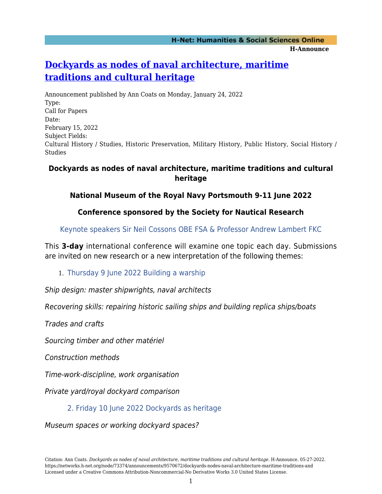#### **H-Net: Humanities & Social Sciences Online H-Announce**

## **[Dockyards as nodes of naval architecture, maritime](https://networks.h-net.org/node/73374/announcements/9570672/dockyards-nodes-naval-architecture-maritime-traditions-and) [traditions and cultural heritage](https://networks.h-net.org/node/73374/announcements/9570672/dockyards-nodes-naval-architecture-maritime-traditions-and)**

Announcement published by Ann Coats on Monday, January 24, 2022 Type: Call for Papers Date: February 15, 2022 Subject Fields: Cultural History / Studies, Historic Preservation, Military History, Public History, Social History / Studies

#### **Dockyards as nodes of naval architecture, maritime traditions and cultural heritage**

#### **National Museum of the Royal Navy Portsmouth 9-11 June 2022**

### **Conference sponsored by the Society for Nautical Research**

Keynote speakers Sir Neil Cossons OBE FSA & Professor Andrew Lambert FKC

This **3-day** international conference will examine one topic each day. Submissions are invited on new research or a new interpretation of the following themes:

#### 1. Thursday 9 June 2022 Building a warship

Ship design: master shipwrights, naval architects

Recovering skills: repairing historic sailing ships and building replica ships/boats

Trades and crafts

Sourcing timber and other matériel

Construction methods

Time-work-discipline, work organisation

Private yard/royal dockyard comparison

#### 2. Friday 10 June 2022 Dockyards as heritage

Museum spaces or working dockyard spaces?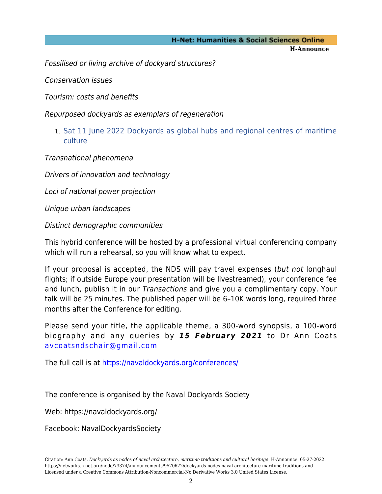# **H-Net: Humanities & Social Sciences Online**

**H-Announce** 

Fossilised or living archive of dockyard structures?

Conservation issues

Tourism: costs and benefits

Repurposed dockyards as exemplars of regeneration

1. Sat 11 June 2022 Dockyards as global hubs and regional centres of maritime culture

Transnational phenomena

Drivers of innovation and technology

Loci of national power projection

Unique urban landscapes

Distinct demographic communities

This hybrid conference will be hosted by a professional virtual conferencing company which will run a rehearsal, so you will know what to expect.

If your proposal is accepted, the NDS will pay travel expenses (but not longhaul flights; if outside Europe your presentation will be livestreamed), your conference fee and lunch, publish it in our Transactions and give you a complimentary copy. Your talk will be 25 minutes. The published paper will be 6–10K words long, required three months after the Conference for editing.

Please send your title, the applicable theme, a 300-word synopsis, a 100-word biography and any queries by *15 February 2021* to Dr Ann Coats [avcoatsndschair@gmail.com](mailto:avcoatsndschair@gmail.com)

The full call is at <https://navaldockyards.org/conferences/>

The conference is organised by the Naval Dockyards Society

Web:<https://navaldockyards.org/>

Facebook: NavalDockyardsSociety